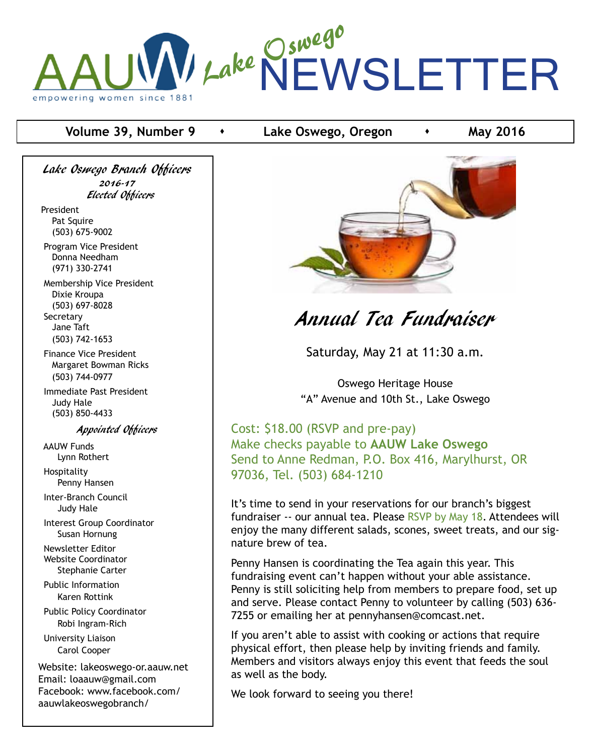

### **Volume 39, Number 9 c c** Lake Oswego, Oregon **c may 2016**

Lake Oswego Branch Officers 2016-17 Elected Officers

President Pat Squire (503) 675-9002

 Program Vice President Donna Needham (971) 330-2741

 Membership Vice President Dixie Kroupa (503) 697-8028 **Secretary**  Jane Taft (503) 742-1653

 Finance Vice President Margaret Bowman Ricks (503) 744-0977

 Immediate Past President Judy Hale (503) 850-4433

Appointed Officers

 AAUW Funds Lynn Rothert

 Hospitality Penny Hansen

 Inter-Branch Council Judy Hale

 Interest Group Coordinator Susan Hornung

 Newsletter Editor Website Coordinator Stephanie Carter

 Public Information Karen Rottink

 Public Policy Coordinator Robi Ingram-Rich University Liaison Carol Cooper

Website: lakeoswego-or.aauw.net Email: loaauw@gmail.com Facebook: www.facebook.com/ aauwlakeoswegobranch/



# Annual Tea Fundraiser

Saturday, May 21 at 11:30 a.m.

Oswego Heritage House "A" Avenue and 10th St., Lake Oswego

Cost: \$18.00 (RSVP and pre-pay) Make checks payable to **AAUW Lake Oswego** Send to Anne Redman, P.O. Box 416, Marylhurst, OR 97036, Tel. (503) 684-1210

It's time to send in your reservations for our branch's biggest fundraiser -- our annual tea. Please RSVP by May 18. Attendees will enjoy the many different salads, scones, sweet treats, and our signature brew of tea.

Penny Hansen is coordinating the Tea again this year. This fundraising event can't happen without your able assistance. Penny is still soliciting help from members to prepare food, set up and serve. Please contact Penny to volunteer by calling (503) 636- 7255 or emailing her at pennyhansen@comcast.net.

If you aren't able to assist with cooking or actions that require physical effort, then please help by inviting friends and family. Members and visitors always enjoy this event that feeds the soul as well as the body.

We look forward to seeing you there!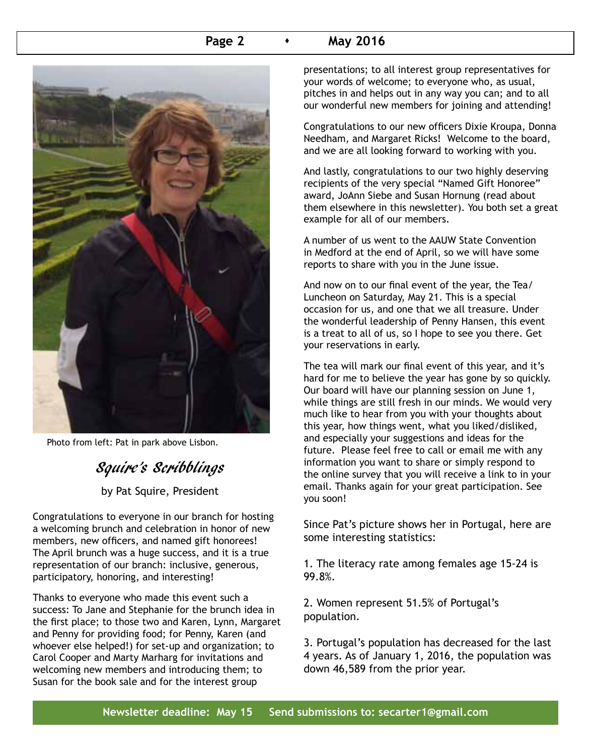### **Page 2 A May 2016**



Photo from left: Pat in park above Lisbon.

# Squire's Scribblings

by Pat Squire, President

Congratulations to everyone in our branch for hosting a welcoming brunch and celebration in honor of new members, new officers, and named gift honorees! The April brunch was a huge success, and it is a true representation of our branch: inclusive, generous, participatory, honoring, and interesting!

Thanks to everyone who made this event such a success: To Jane and Stephanie for the brunch idea in the first place; to those two and Karen, Lynn, Margaret and Penny for providing food; for Penny, Karen (and whoever else helped!) for set-up and organization; to Carol Cooper and Marty Marharg for invitations and welcoming new members and introducing them; to Susan for the book sale and for the interest group

presentations; to all interest group representatives for your words of welcome; to everyone who, as usual, pitches in and helps out in any way you can; and to all our wonderful new members for joining and attending!

Congratulations to our new officers Dixie Kroupa, Donna Needham, and Margaret Ricks! Welcome to the board, and we are all looking forward to working with you.

And lastly, congratulations to our two highly deserving recipients of the very special "Named Gift Honoree" award, JoAnn Siebe and Susan Hornung (read about them elsewhere in this newsletter). You both set a great example for all of our members.

A number of us went to the AAUW State Convention in Medford at the end of April, so we will have some reports to share with you in the June issue.

And now on to our final event of the year, the Tea/ Luncheon on Saturday, May 21. This is a special occasion for us, and one that we all treasure. Under the wonderful leadership of Penny Hansen, this event is a treat to all of us, so I hope to see you there. Get your reservations in early.

The tea will mark our final event of this year, and it's hard for me to believe the year has gone by so quickly. Our board will have our planning session on June 1, while things are still fresh in our minds. We would very much like to hear from you with your thoughts about this year, how things went, what you liked/disliked, and especially your suggestions and ideas for the future. Please feel free to call or email me with any information you want to share or simply respond to the online survey that you will receive a link to in your email. Thanks again for your great participation. See you soon!

Since Pat's picture shows her in Portugal, here are some interesting statistics:

1. The literacy rate among females age 15-24 is 99.8%.

2. Women represent 51.5% of Portugal's population.

3. Portugal's population has decreased for the last 4 years. As of January 1, 2016, the population was down 46,589 from the prior year.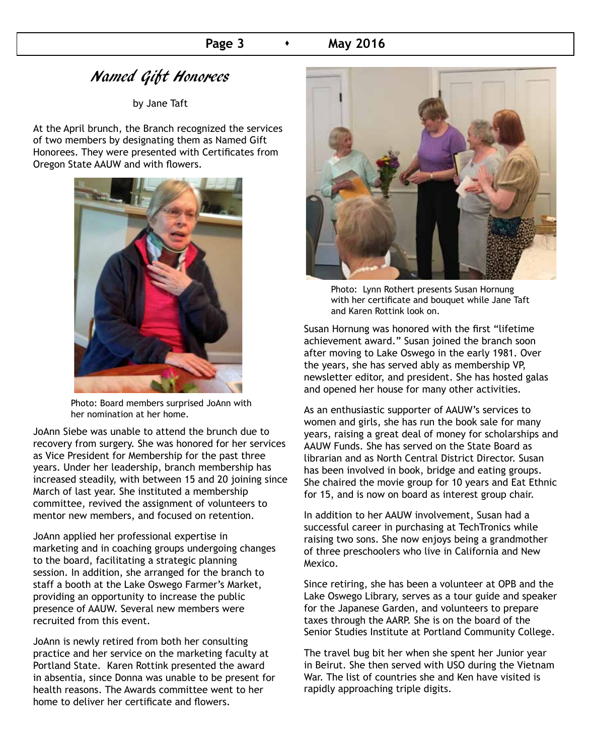## Named Gift Honorees

by Jane Taft

At the April brunch, the Branch recognized the services of two members by designating them as Named Gift Honorees. They were presented with Certificates from Oregon State AAUW and with flowers.



Photo: Board members surprised JoAnn with her nomination at her home.

JoAnn Siebe was unable to attend the brunch due to recovery from surgery. She was honored for her services as Vice President for Membership for the past three years. Under her leadership, branch membership has increased steadily, with between 15 and 20 joining since March of last year. She instituted a membership committee, revived the assignment of volunteers to mentor new members, and focused on retention.

JoAnn applied her professional expertise in marketing and in coaching groups undergoing changes to the board, facilitating a strategic planning session. In addition, she arranged for the branch to staff a booth at the Lake Oswego Farmer's Market, providing an opportunity to increase the public presence of AAUW. Several new members were recruited from this event.

JoAnn is newly retired from both her consulting practice and her service on the marketing faculty at Portland State. Karen Rottink presented the award in absentia, since Donna was unable to be present for health reasons. The Awards committee went to her home to deliver her certificate and flowers.



Photo: Lynn Rothert presents Susan Hornung with her certificate and bouquet while Jane Taft and Karen Rottink look on.

Susan Hornung was honored with the first "lifetime achievement award." Susan joined the branch soon after moving to Lake Oswego in the early 1981. Over the years, she has served ably as membership VP, newsletter editor, and president. She has hosted galas and opened her house for many other activities.

As an enthusiastic supporter of AAUW's services to women and girls, she has run the book sale for many years, raising a great deal of money for scholarships and AAUW Funds. She has served on the State Board as librarian and as North Central District Director. Susan has been involved in book, bridge and eating groups. She chaired the movie group for 10 years and Eat Ethnic for 15, and is now on board as interest group chair.

In addition to her AAUW involvement, Susan had a successful career in purchasing at TechTronics while raising two sons. She now enjoys being a grandmother of three preschoolers who live in California and New Mexico.

Since retiring, she has been a volunteer at OPB and the Lake Oswego Library, serves as a tour guide and speaker for the Japanese Garden, and volunteers to prepare taxes through the AARP. She is on the board of the Senior Studies Institute at Portland Community College.

The travel bug bit her when she spent her Junior year in Beirut. She then served with USO during the Vietnam War. The list of countries she and Ken have visited is rapidly approaching triple digits.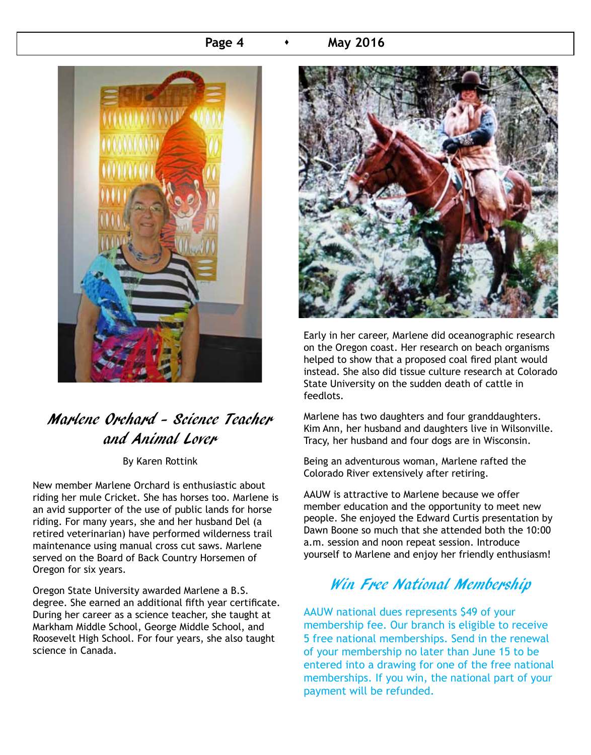#### **Page 4 A May 2016**



# Marlene Orchard - Science Teacher and Animal Lover

By Karen Rottink

New member Marlene Orchard is enthusiastic about riding her mule Cricket. She has horses too. Marlene is an avid supporter of the use of public lands for horse riding. For many years, she and her husband Del (a retired veterinarian) have performed wilderness trail maintenance using manual cross cut saws. Marlene served on the Board of Back Country Horsemen of Oregon for six years.

Oregon State University awarded Marlene a B.S. degree. She earned an additional fifth year certificate. During her career as a science teacher, she taught at Markham Middle School, George Middle School, and Roosevelt High School. For four years, she also taught science in Canada.



Early in her career, Marlene did oceanographic research on the Oregon coast. Her research on beach organisms helped to show that a proposed coal fired plant would instead. She also did tissue culture research at Colorado State University on the sudden death of cattle in feedlots.

Marlene has two daughters and four granddaughters. Kim Ann, her husband and daughters live in Wilsonville. Tracy, her husband and four dogs are in Wisconsin.

Being an adventurous woman, Marlene rafted the Colorado River extensively after retiring.

AAUW is attractive to Marlene because we offer member education and the opportunity to meet new people. She enjoyed the Edward Curtis presentation by Dawn Boone so much that she attended both the 10:00 a.m. session and noon repeat session. Introduce yourself to Marlene and enjoy her friendly enthusiasm!

# Win Free National Membership

AAUW national dues represents \$49 of your membership fee. Our branch is eligible to receive 5 free national memberships. Send in the renewal of your membership no later than June 15 to be entered into a drawing for one of the free national memberships. If you win, the national part of your payment will be refunded.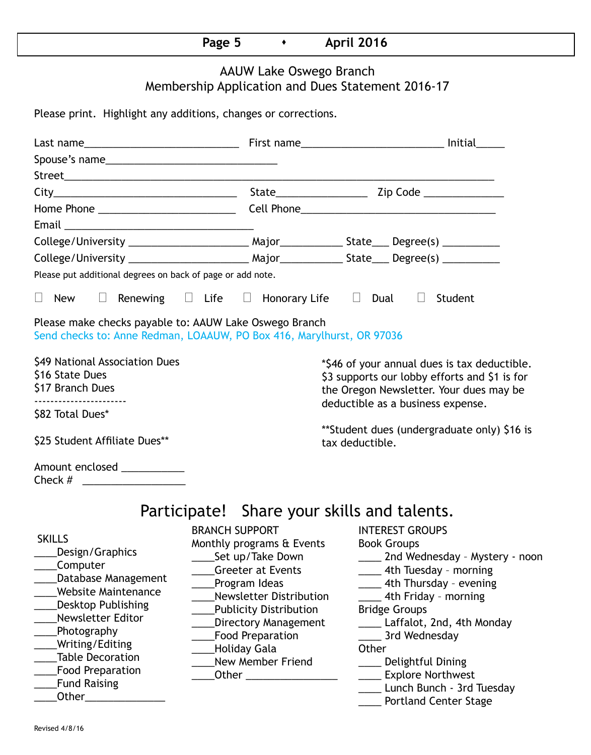# **Page 5 • April 2016**

## AAUW Lake Oswego Branch Membership Application and Dues Statement 2016-17

Please print. Highlight any additions, changes or corrections.

| Please put additional degrees on back of page or add note.                                                                                                                                                                                                                               |                                                                                                                                                                                                                                                                                 |                                                                                                                                                                                                                                                                                                                                                                                         |  |  |  |  |  |  |  |
|------------------------------------------------------------------------------------------------------------------------------------------------------------------------------------------------------------------------------------------------------------------------------------------|---------------------------------------------------------------------------------------------------------------------------------------------------------------------------------------------------------------------------------------------------------------------------------|-----------------------------------------------------------------------------------------------------------------------------------------------------------------------------------------------------------------------------------------------------------------------------------------------------------------------------------------------------------------------------------------|--|--|--|--|--|--|--|
| $\Box$ New                                                                                                                                                                                                                                                                               | $\Box$ Renewing $\Box$ Life $\Box$ Honorary Life $\Box$ Dual                                                                                                                                                                                                                    | $\Box$ Student                                                                                                                                                                                                                                                                                                                                                                          |  |  |  |  |  |  |  |
| Please make checks payable to: AAUW Lake Oswego Branch<br>Send checks to: Anne Redman, LOAAUW, PO Box 416, Marylhurst, OR 97036                                                                                                                                                          |                                                                                                                                                                                                                                                                                 |                                                                                                                                                                                                                                                                                                                                                                                         |  |  |  |  |  |  |  |
| \$49 National Association Dues<br>\$16 State Dues<br>\$17 Branch Dues<br>------------------------<br>\$82 Total Dues*                                                                                                                                                                    |                                                                                                                                                                                                                                                                                 | *\$46 of your annual dues is tax deductible.<br>\$3 supports our lobby efforts and \$1 is for<br>the Oregon Newsletter. Your dues may be<br>deductible as a business expense.                                                                                                                                                                                                           |  |  |  |  |  |  |  |
| \$25 Student Affiliate Dues**                                                                                                                                                                                                                                                            |                                                                                                                                                                                                                                                                                 | **Student dues (undergraduate only) \$16 is<br>tax deductible.                                                                                                                                                                                                                                                                                                                          |  |  |  |  |  |  |  |
| Amount enclosed ___________<br>Check $#$                                                                                                                                                                                                                                                 |                                                                                                                                                                                                                                                                                 |                                                                                                                                                                                                                                                                                                                                                                                         |  |  |  |  |  |  |  |
| Participate! Share your skills and talents.                                                                                                                                                                                                                                              |                                                                                                                                                                                                                                                                                 |                                                                                                                                                                                                                                                                                                                                                                                         |  |  |  |  |  |  |  |
| <b>SKILLS</b><br>Design/Graphics<br>Computer<br>Database Management<br><b>Website Maintenance</b><br><b>Desktop Publishing</b><br>Newsletter Editor<br>Photography<br>Writing/Editing<br><b>Table Decoration</b><br><b>Food Preparation</b><br><b>Fund Raising</b><br>Other_____________ | <b>BRANCH SUPPORT</b><br>Monthly programs & Events<br>_Set up/Take Down<br><b>Greeter at Events</b><br>Program Ideas<br>Newsletter Distribution<br><b>Publicity Distribution</b><br><b>Directory Management</b><br><b>Food Preparation</b><br>Holiday Gala<br>New Member Friend | <b>INTEREST GROUPS</b><br><b>Book Groups</b><br>____ 2nd Wednesday - Mystery - noon<br>____ 4th Tuesday - morning<br>_____ 4th Thursday - evening<br>___ 4th Friday - morning<br><b>Bridge Groups</b><br>____ Laffalot, 2nd, 4th Monday<br>3rd Wednesday<br>Other<br>___ Delightful Dining<br>____ Explore Northwest<br>_____ Lunch Bunch - 3rd Tuesday<br><b>Portland Center Stage</b> |  |  |  |  |  |  |  |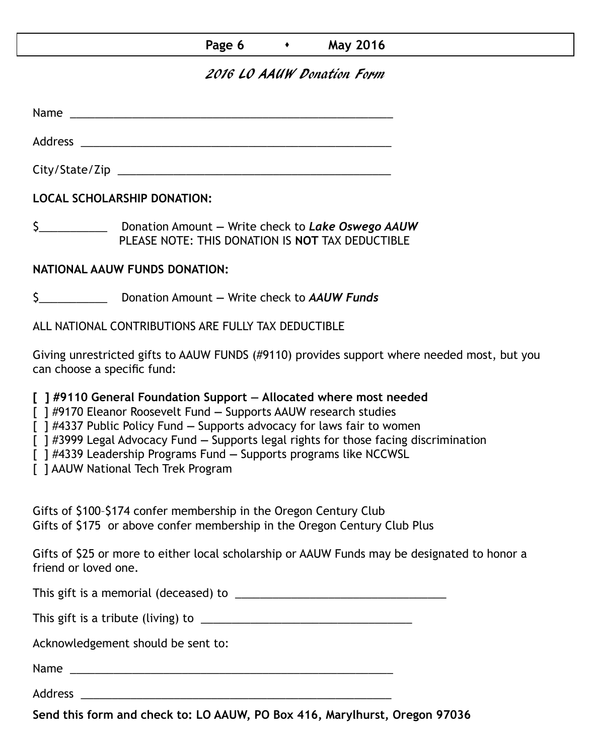### **Page 6**  $\longrightarrow$  **May 2016**

### 2016 LO AAUW Donation Form

Name was also as  $\sim$  100  $\mu$  and  $\mu$  and  $\mu$  and  $\mu$  and  $\mu$  and  $\mu$  and  $\mu$ 

Address \_\_\_\_\_\_\_\_\_\_\_\_\_\_\_\_\_\_\_\_\_\_\_\_\_\_\_\_\_\_\_\_\_\_\_\_\_\_\_\_\_\_\_\_\_\_\_\_\_\_ City/State/Zip 2000 and 2000 and 2000 and 2000 and 2000 and 2000 and 2000 and 2000 and 2000 and 200

**LOCAL SCHOLARSHIP DONATION:**

\$\_\_\_\_\_\_\_\_\_\_\_ Donation Amount **—** Write check to *Lake Oswego AAUW* PLEASE NOTE: THIS DONATION IS **NOT** TAX DEDUCTIBLE

#### **NATIONAL AAUW FUNDS DONATION:**

\$\_\_\_\_\_\_\_\_\_\_\_ Donation Amount **—** Write check to *AAUW Funds*

ALL NATIONAL CONTRIBUTIONS ARE FULLY TAX DEDUCTIBLE

Giving unrestricted gifts to AAUW FUNDS (#9110) provides support where needed most, but you can choose a specific fund:

**[ ] #9110 General Foundation Support — Allocated where most needed** 

[ ] #9170 Eleanor Roosevelt Fund **—** Supports AAUW research studies

[ ] #4337 Public Policy Fund **—** Supports advocacy for laws fair to women

[ ] #3999 Legal Advocacy Fund **—** Supports legal rights for those facing discrimination

[ ] #4339 Leadership Programs Fund **—** Supports programs like NCCWSL

[ ] AAUW National Tech Trek Program

Gifts of \$100–\$174 confer membership in the Oregon Century Club Gifts of \$175 or above confer membership in the Oregon Century Club Plus

Gifts of \$25 or more to either local scholarship or AAUW Funds may be designated to honor a friend or loved one.

This gift is a memorial (deceased) to \_\_\_\_\_\_\_\_\_\_\_\_\_\_\_\_\_\_\_\_\_\_\_\_\_\_\_\_\_\_\_\_\_\_

This gift is a tribute (living) to \_\_\_\_\_\_\_\_\_\_\_\_\_\_\_\_\_\_\_\_\_\_\_\_\_\_\_\_\_\_\_\_\_\_

Acknowledgement should be sent to:

Name \_\_\_\_\_\_\_\_\_\_\_\_\_\_\_\_\_\_\_\_\_\_\_\_\_\_\_\_\_\_\_\_\_\_\_\_\_\_\_\_\_\_\_\_\_\_\_\_\_\_\_\_

Address \_\_\_\_\_\_\_\_\_\_\_\_\_\_\_\_\_\_\_\_\_\_\_\_\_\_\_\_\_\_\_\_\_\_\_\_\_\_\_\_\_\_\_\_\_\_\_\_\_\_

**Send this form and check to: LO AAUW, PO Box 416, Marylhurst, Oregon 97036**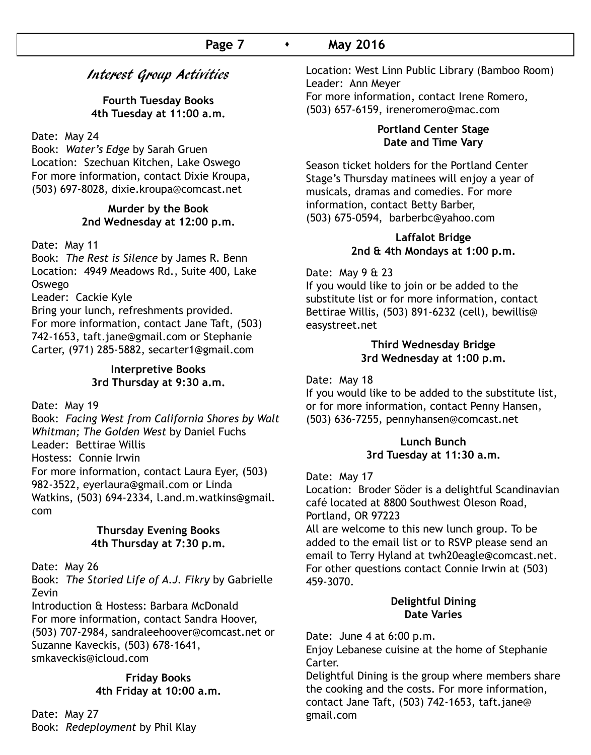#### **Page 7 •** May 2016

### Interest Group Activities

**Fourth Tuesday Books 4th Tuesday at 11:00 a.m.**

Date: May 24

Book: *Water's Edge* by Sarah Gruen Location: Szechuan Kitchen, Lake Oswego For more information, contact Dixie Kroupa, (503) 697-8028, dixie.kroupa@comcast.net

#### **Murder by the Book 2nd Wednesday at 12:00 p.m.**

Date: May 11

Book: *The Rest is Silence* by James R. Benn Location: 4949 Meadows Rd., Suite 400, Lake Oswego

Leader: Cackie Kyle

Bring your lunch, refreshments provided. For more information, contact Jane Taft, (503) 742-1653, taft.jane@gmail.com or Stephanie Carter, (971) 285-5882, secarter1@gmail.com

#### **Interpretive Books 3rd Thursday at 9:30 a.m.**

Date: May 19

Book: *Facing West from California Shores by Walt Whitman; The Golden West* by Daniel Fuchs Leader: Bettirae Willis Hostess: Connie Irwin For more information, contact Laura Eyer, (503) 982-3522, eyerlaura@gmail.com or Linda Watkins, (503) 694-2334, l.and.m.watkins@gmail. com

#### **Thursday Evening Books 4th Thursday at 7:30 p.m.**

Date: May 26

Book: *The Storied Life of A.J. Fikry* by Gabrielle Zevin

Introduction & Hostess: Barbara McDonald For more information, contact Sandra Hoover, (503) 707-2984, sandraleehoover@comcast.net or Suzanne Kaveckis, (503) 678-1641, smkaveckis@icloud.com

#### **Friday Books 4th Friday at 10:00 a.m.**

Date: May 27 Book: *Redeployment* by Phil Klay Location: West Linn Public Library (Bamboo Room) Leader: Ann Meyer For more information, contact Irene Romero, (503) 657-6159, ireneromero@mac.com

#### **Portland Center Stage Date and Time Vary**

Season ticket holders for the Portland Center Stage's Thursday matinees will enjoy a year of musicals, dramas and comedies. For more information, contact Betty Barber, (503) 675-0594, barberbc@yahoo.com

#### **Laffalot Bridge 2nd & 4th Mondays at 1:00 p.m.**

Date: May 9 & 23

If you would like to join or be added to the substitute list or for more information, contact Bettirae Willis, (503) 891-6232 (cell), bewillis@ easystreet.net

#### **Third Wednesday Bridge 3rd Wednesday at 1:00 p.m.**

Date: May 18

If you would like to be added to the substitute list, or for more information, contact Penny Hansen, (503) 636-7255, pennyhansen@comcast.net

#### **Lunch Bunch 3rd Tuesday at 11:30 a.m.**

#### Date: May 17

Location: Broder Söder is a delightful Scandinavian café located at 8800 Southwest Oleson Road, Portland, OR 97223

All are welcome to this new lunch group. To be added to the email list or to RSVP please send an email to Terry Hyland at twh20eagle@comcast.net. For other questions contact Connie Irwin at (503) 459-3070.

#### **Delightful Dining Date Varies**

Date: June 4 at 6:00 p.m.

Enjoy Lebanese cuisine at the home of Stephanie Carter.

Delightful Dining is the group where members share the cooking and the costs. For more information, contact Jane Taft, (503) 742-1653, taft.jane@ gmail.com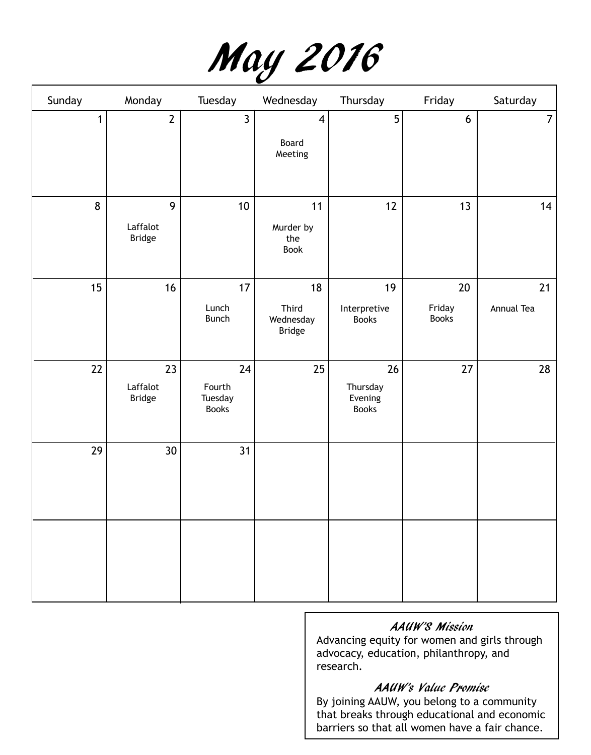|  | May 2016 |
|--|----------|
|--|----------|

| Sunday | Monday                    | Tuesday                           | Wednesday                           | Thursday                            | Friday                 | Saturday       |
|--------|---------------------------|-----------------------------------|-------------------------------------|-------------------------------------|------------------------|----------------|
| 1      | $\mathbf{2}$              | $\mathbf{3}$                      | $\overline{\mathbf{4}}$             | 5                                   | 6                      | $\overline{7}$ |
|        |                           |                                   | Board<br>Meeting                    |                                     |                        |                |
|        |                           |                                   |                                     |                                     |                        |                |
| 8      | 9                         | $10\,$                            | 11                                  | 12                                  | 13                     | 14             |
|        | Laffalot<br><b>Bridge</b> |                                   | Murder by<br>the<br>Book            |                                     |                        |                |
| 15     | 16                        | 17                                | 18                                  | 19                                  | $20\,$                 | 21             |
|        |                           | Lunch<br>Bunch                    | Third<br>Wednesday<br><b>Bridge</b> | Interpretive<br><b>Books</b>        | Friday<br><b>Books</b> | Annual Tea     |
| 22     | 23                        | 24                                | 25                                  | 26                                  | 27                     | 28             |
|        | Laffalot<br>Bridge        | Fourth<br>Tuesday<br><b>Books</b> |                                     | Thursday<br>Evening<br><b>Books</b> |                        |                |
| 29     | 30 <sup>°</sup>           | 31                                |                                     |                                     |                        |                |
|        |                           |                                   |                                     |                                     |                        |                |
|        |                           |                                   |                                     |                                     |                        |                |
|        |                           |                                   |                                     |                                     |                        |                |
|        |                           |                                   |                                     |                                     |                        |                |
|        |                           |                                   |                                     |                                     |                        |                |

### AAUW'S Mission

Advancing equity for women and girls through advocacy, education, philanthropy, and research.

### AAUW's Value Promise

By joining AAUW, you belong to a community that breaks through educational and economic barriers so that all women have a fair chance.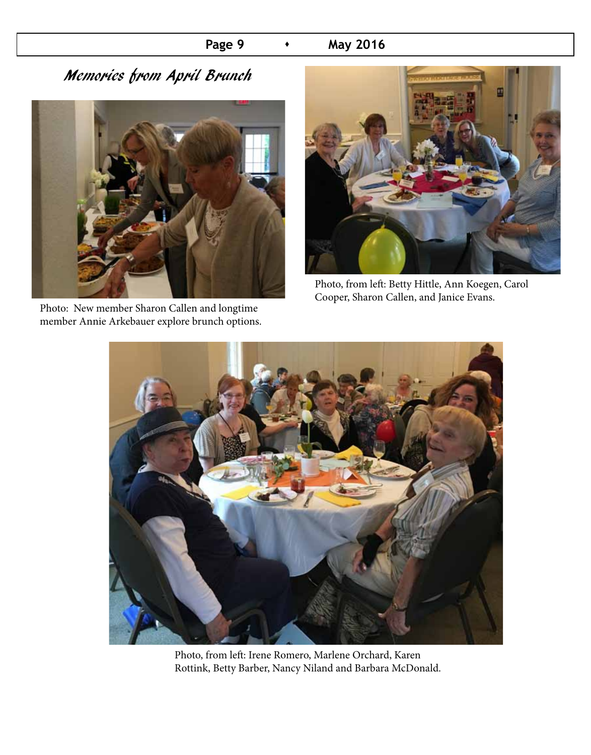### **Page 9**  $\rightarrow$  **May 2016**

# Memories from April Brunch



Photo: New member Sharon Callen and longtime member Annie Arkebauer explore brunch options.



Photo, from left: Betty Hittle, Ann Koegen, Carol Cooper, Sharon Callen, and Janice Evans.



Photo, from left: Irene Romero, Marlene Orchard, Karen Rottink, Betty Barber, Nancy Niland and Barbara McDonald.